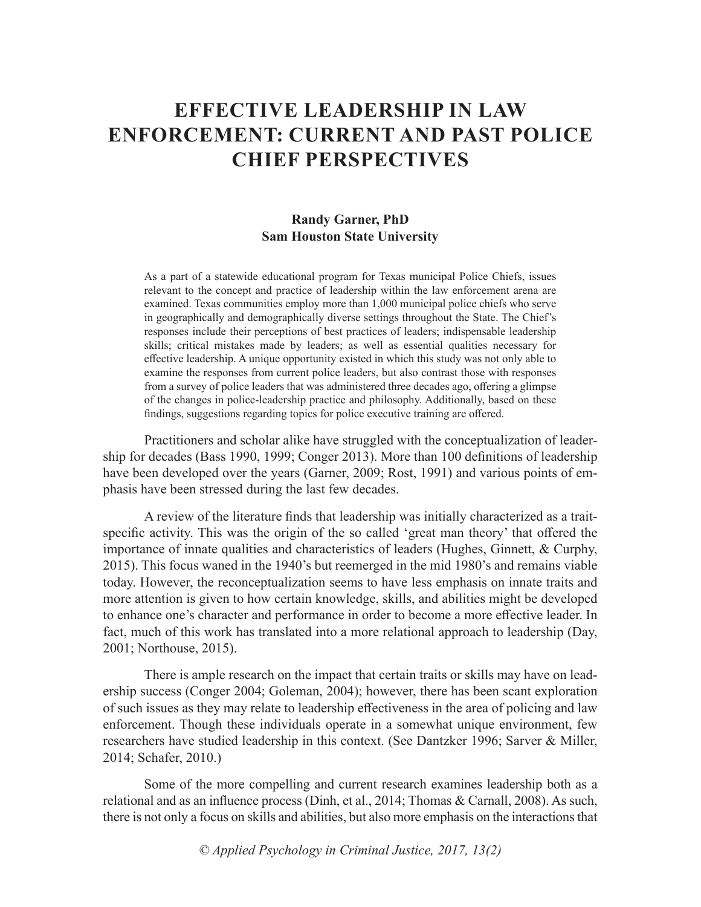# **EFFECTIVE LEADERSHIP IN LAW ENFORCEMENT: CURRENT AND PAST POLICE CHIEF PERSPECTIVES**

## **Randy Garner, PhD Sam Houston State University**

As a part of a statewide educational program for Texas municipal Police Chiefs, issues relevant to the concept and practice of leadership within the law enforcement arena are examined. Texas communities employ more than 1,000 municipal police chiefs who serve in geographically and demographically diverse settings throughout the State. The Chief's responses include their perceptions of best practices of leaders; indispensable leadership skills; critical mistakes made by leaders; as well as essential qualities necessary for effective leadership. A unique opportunity existed in which this study was not only able to examine the responses from current police leaders, but also contrast those with responses from a survey of police leaders that was administered three decades ago, offering a glimpse of the changes in police-leadership practice and philosophy. Additionally, based on these findings, suggestions regarding topics for police executive training are offered.

Practitioners and scholar alike have struggled with the conceptualization of leadership for decades (Bass 1990, 1999; Conger 2013). More than 100 definitions of leadership have been developed over the years (Garner, 2009; Rost, 1991) and various points of emphasis have been stressed during the last few decades.

A review of the literature finds that leadership was initially characterized as a traitspecific activity. This was the origin of the so called 'great man theory' that offered the importance of innate qualities and characteristics of leaders (Hughes, Ginnett, & Curphy, 2015). This focus waned in the 1940's but reemerged in the mid 1980's and remains viable today. However, the reconceptualization seems to have less emphasis on innate traits and more attention is given to how certain knowledge, skills, and abilities might be developed to enhance one's character and performance in order to become a more effective leader. In fact, much of this work has translated into a more relational approach to leadership (Day, 2001; Northouse, 2015).

There is ample research on the impact that certain traits or skills may have on leadership success (Conger 2004; Goleman, 2004); however, there has been scant exploration of such issues as they may relate to leadership effectiveness in the area of policing and law enforcement. Though these individuals operate in a somewhat unique environment, few researchers have studied leadership in this context. (See Dantzker 1996; Sarver & Miller, 2014; Schafer, 2010.)

Some of the more compelling and current research examines leadership both as a relational and as an influence process (Dinh, et al., 2014; Thomas & Carnall, 2008). As such, there is not only a focus on skills and abilities, but also more emphasis on the interactions that

*© Applied Psychology in Criminal Justice, 2017, 13(2)*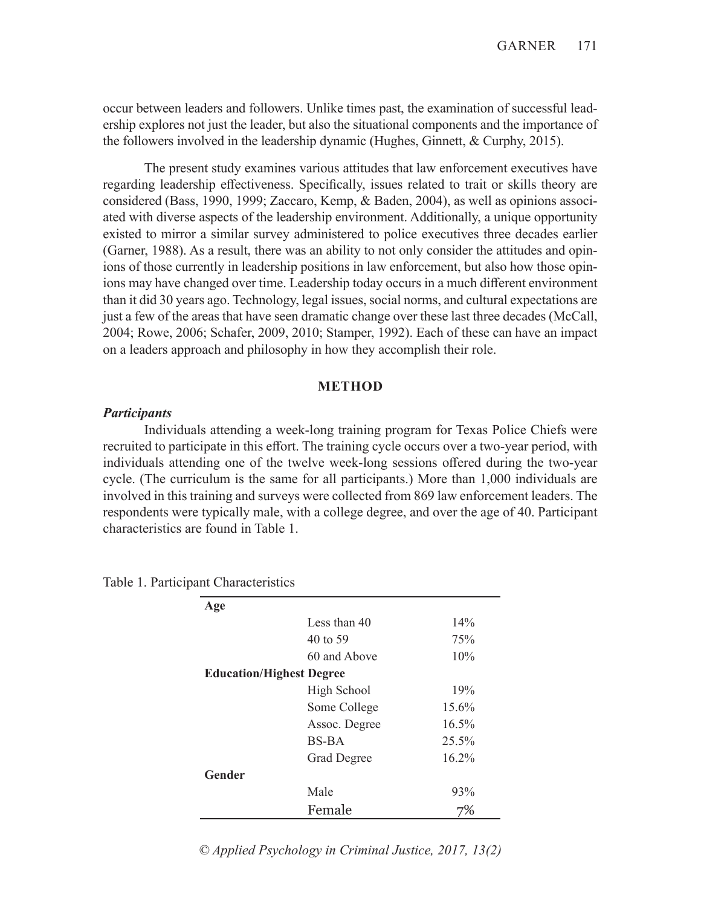occur between leaders and followers. Unlike times past, the examination of successful leadership explores not just the leader, but also the situational components and the importance of the followers involved in the leadership dynamic (Hughes, Ginnett, & Curphy, 2015).

The present study examines various attitudes that law enforcement executives have regarding leadership effectiveness. Specifically, issues related to trait or skills theory are considered (Bass, 1990, 1999; Zaccaro, Kemp, & Baden, 2004), as well as opinions associated with diverse aspects of the leadership environment. Additionally, a unique opportunity existed to mirror a similar survey administered to police executives three decades earlier (Garner, 1988). As a result, there was an ability to not only consider the attitudes and opinions of those currently in leadership positions in law enforcement, but also how those opinions may have changed over time. Leadership today occurs in a much different environment than it did 30 years ago. Technology, legal issues, social norms, and cultural expectations are just a few of the areas that have seen dramatic change over these last three decades (McCall, 2004; Rowe, 2006; Schafer, 2009, 2010; Stamper, 1992). Each of these can have an impact on a leaders approach and philosophy in how they accomplish their role.

#### **METHOD**

#### *Participants*

Individuals attending a week-long training program for Texas Police Chiefs were recruited to participate in this effort. The training cycle occurs over a two-year period, with individuals attending one of the twelve week-long sessions offered during the two-year cycle. (The curriculum is the same for all participants.) More than 1,000 individuals are involved in this training and surveys were collected from 869 law enforcement leaders. The respondents were typically male, with a college degree, and over the age of 40. Participant characteristics are found in Table 1.

| Age                             |                    |          |
|---------------------------------|--------------------|----------|
|                                 | Less than 40       | 14%      |
|                                 | 40 to 59           | 75%      |
|                                 | 60 and Above       | 10%      |
| <b>Education/Highest Degree</b> |                    |          |
|                                 | High School        | 19%      |
|                                 | Some College       | $15.6\%$ |
|                                 | Assoc. Degree      | $16.5\%$ |
|                                 | BS-BA              | 25.5%    |
|                                 | <b>Grad Degree</b> | 16.2%    |
| Gender                          |                    |          |
|                                 | Male               | 93%      |
|                                 | Female             |          |

Table 1. Participant Characteristics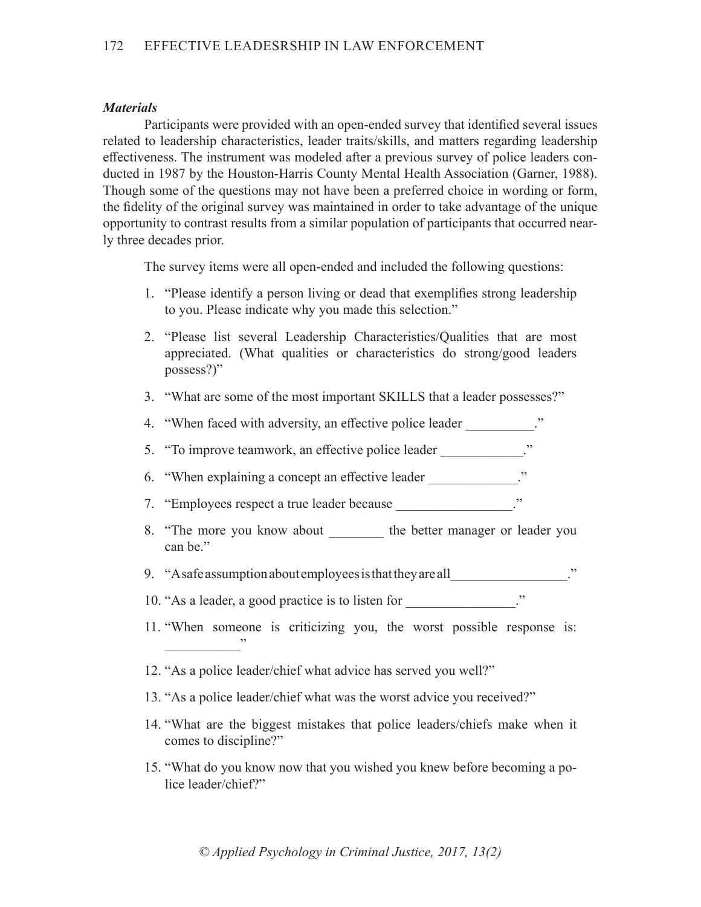#### *Materials*

Participants were provided with an open-ended survey that identified several issues related to leadership characteristics, leader traits/skills, and matters regarding leadership effectiveness. The instrument was modeled after a previous survey of police leaders conducted in 1987 by the Houston-Harris County Mental Health Association (Garner, 1988). Though some of the questions may not have been a preferred choice in wording or form, the fidelity of the original survey was maintained in order to take advantage of the unique opportunity to contrast results from a similar population of participants that occurred nearly three decades prior.

The survey items were all open-ended and included the following questions:

- 1. "Please identify a person living or dead that exemplifies strong leadership to you. Please indicate why you made this selection."
- 2. "Please list several Leadership Characteristics/Qualities that are most appreciated. (What qualities or characteristics do strong/good leaders possess?)"
- 3. "What are some of the most important SKILLS that a leader possesses?"
- 4. "When faced with adversity, an effective police leader ..."
- 5. "To improve teamwork, an effective police leader \_\_\_\_\_\_\_\_\_\_\_."
- 6. "When explaining a concept an effective leader ..."
- 7. "Employees respect a true leader because \_\_\_\_\_\_\_\_\_\_\_\_\_\_\_."
- 8. "The more you know about the better manager or leader you can be."
- 9. "A safe assumption about employees is that they are all\_\_\_\_\_\_\_\_\_\_\_\_\_\_\_\_\_."
- 10. "As a leader, a good practice is to listen for  $\cdots$
- 11. "When someone is criticizing you, the worst possible response is:  $\overline{\phantom{a}}$
- 12. "As a police leader/chief what advice has served you well?"
- 13. "As a police leader/chief what was the worst advice you received?"
- 14. "What are the biggest mistakes that police leaders/chiefs make when it comes to discipline?"
- 15. "What do you know now that you wished you knew before becoming a police leader/chief?"

*© Applied Psychology in Criminal Justice, 2017, 13(2)*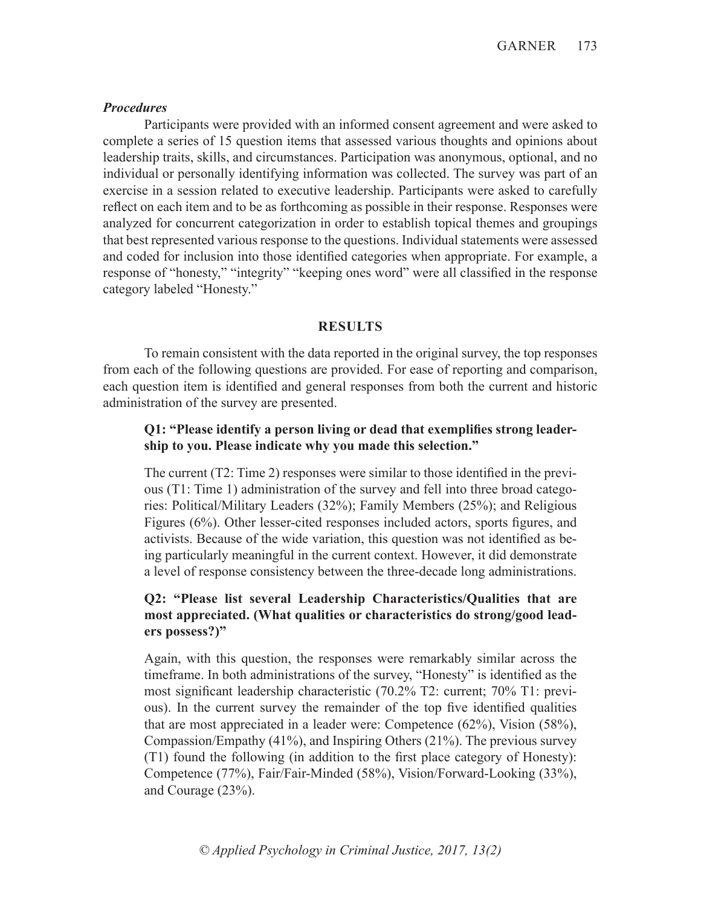#### *Procedures*

Participants were provided with an informed consent agreement and were asked to complete a series of 15 question items that assessed various thoughts and opinions about leadership traits, skills, and circumstances. Participation was anonymous, optional, and no individual or personally identifying information was collected. The survey was part of an exercise in a session related to executive leadership. Participants were asked to carefully reflect on each item and to be as forthcoming as possible in their response. Responses were analyzed for concurrent categorization in order to establish topical themes and groupings that best represented various response to the questions. Individual statements were assessed and coded for inclusion into those identified categories when appropriate. For example, a response of "honesty," "integrity" "keeping ones word" were all classified in the response category labeled "Honesty."

#### **RESULTS**

To remain consistent with the data reported in the original survey, the top responses from each of the following questions are provided. For ease of reporting and comparison, each question item is identified and general responses from both the current and historic administration of the survey are presented.

## **Q1: "Please identify a person living or dead that exemplifies strong leadership to you. Please indicate why you made this selection."**

The current (T2: Time 2) responses were similar to those identified in the previous (T1: Time 1) administration of the survey and fell into three broad categories: Political/Military Leaders (32%); Family Members (25%); and Religious Figures (6%). Other lesser-cited responses included actors, sports figures, and activists. Because of the wide variation, this question was not identified as being particularly meaningful in the current context. However, it did demonstrate a level of response consistency between the three-decade long administrations.

## **Q2: "Please list several Leadership Characteristics/Qualities that are most appreciated. (What qualities or characteristics do strong/good leaders possess?)"**

Again, with this question, the responses were remarkably similar across the timeframe. In both administrations of the survey, "Honesty" is identified as the most significant leadership characteristic (70.2% T2: current; 70% T1: previous). In the current survey the remainder of the top five identified qualities that are most appreciated in a leader were: Competence (62%), Vision (58%), Compassion/Empathy (41%), and Inspiring Others (21%). The previous survey (T1) found the following (in addition to the first place category of Honesty): Competence (77%), Fair/Fair-Minded (58%), Vision/Forward-Looking (33%), and Courage (23%).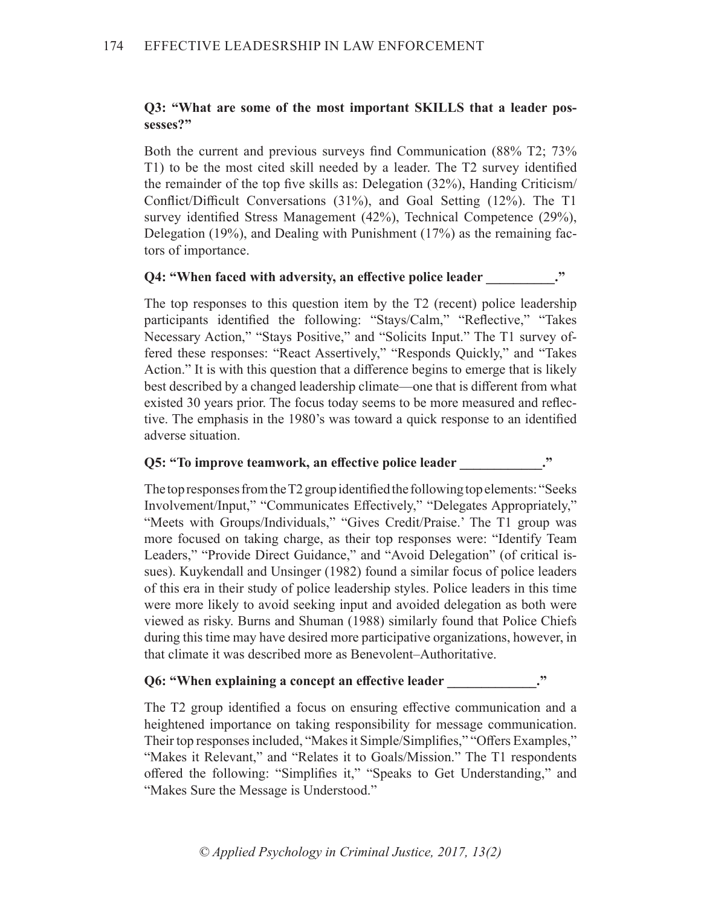### **Q3: "What are some of the most important SKILLS that a leader possesses?"**

Both the current and previous surveys find Communication (88% T2; 73% T1) to be the most cited skill needed by a leader. The T2 survey identified the remainder of the top five skills as: Delegation (32%), Handing Criticism/ Conflict/Difficult Conversations (31%), and Goal Setting (12%). The T1 survey identified Stress Management (42%), Technical Competence (29%), Delegation  $(19\%)$ , and Dealing with Punishment  $(17\%)$  as the remaining factors of importance.

#### **Q4: "When faced with adversity, an effective police leader**  $\cdot$ **"**

The top responses to this question item by the T2 (recent) police leadership participants identified the following: "Stays/Calm," "Reflective," "Takes Necessary Action," "Stays Positive," and "Solicits Input." The T1 survey offered these responses: "React Assertively," "Responds Quickly," and "Takes Action." It is with this question that a difference begins to emerge that is likely best described by a changed leadership climate—one that is different from what existed 30 years prior. The focus today seems to be more measured and reflective. The emphasis in the 1980's was toward a quick response to an identified adverse situation.

#### **Q5: "To improve teamwork, an effective police leader \_\_\_\_\_\_\_\_\_\_\_\_."**

The top responses from the T2 group identified the following top elements: "Seeks Involvement/Input," "Communicates Effectively," "Delegates Appropriately," "Meets with Groups/Individuals," "Gives Credit/Praise.' The T1 group was more focused on taking charge, as their top responses were: "Identify Team Leaders," "Provide Direct Guidance," and "Avoid Delegation" (of critical issues). Kuykendall and Unsinger (1982) found a similar focus of police leaders of this era in their study of police leadership styles. Police leaders in this time were more likely to avoid seeking input and avoided delegation as both were viewed as risky. Burns and Shuman (1988) similarly found that Police Chiefs during this time may have desired more participative organizations, however, in that climate it was described more as Benevolent–Authoritative.

#### **Q6: "When explaining a concept an effective leader \_\_\_\_\_\_\_\_\_\_\_\_\_."**

The T2 group identified a focus on ensuring effective communication and a heightened importance on taking responsibility for message communication. Their top responses included, "Makes it Simple/Simplifies," "Offers Examples," "Makes it Relevant," and "Relates it to Goals/Mission." The T1 respondents offered the following: "Simplifies it," "Speaks to Get Understanding," and "Makes Sure the Message is Understood."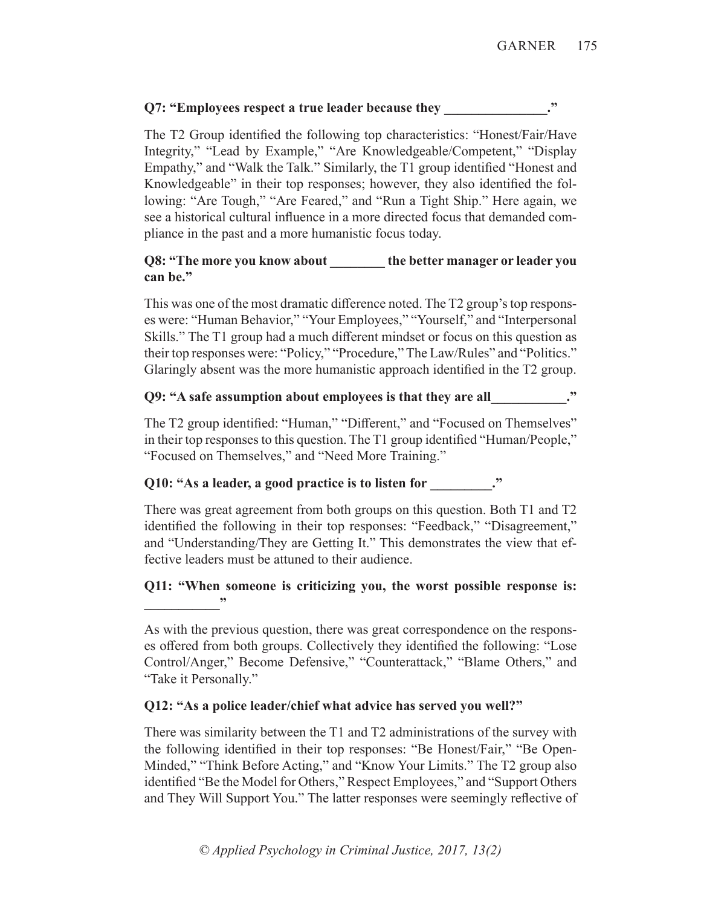# **Q7: "Employees respect a true leader because they**

The T2 Group identified the following top characteristics: "Honest/Fair/Have Integrity," "Lead by Example," "Are Knowledgeable/Competent," "Display Empathy," and "Walk the Talk." Similarly, the T1 group identified "Honest and Knowledgeable" in their top responses; however, they also identified the following: "Are Tough," "Are Feared," and "Run a Tight Ship." Here again, we see a historical cultural influence in a more directed focus that demanded compliance in the past and a more humanistic focus today.

# **Q8: "The more you know about the better manager or leader you can be."**

This was one of the most dramatic difference noted. The T2 group's top responses were: "Human Behavior," "Your Employees," "Yourself," and "Interpersonal Skills." The T1 group had a much different mindset or focus on this question as their top responses were: "Policy," "Procedure," The Law/Rules" and "Politics." Glaringly absent was the more humanistic approach identified in the T2 group.

# **Q9: "A safe assumption about employees is that they are all\_\_\_\_\_\_\_\_\_\_\_."**

The T2 group identified: "Human," "Different," and "Focused on Themselves" in their top responses to this question. The T1 group identified "Human/People," "Focused on Themselves," and "Need More Training."

# **Q10: "As a leader, a good practice is to listen for \_\_\_\_\_\_\_\_\_."**

There was great agreement from both groups on this question. Both T1 and T2 identified the following in their top responses: "Feedback," "Disagreement," and "Understanding/They are Getting It." This demonstrates the view that effective leaders must be attuned to their audience.

# **Q11: "When someone is criticizing you, the worst possible response is: \_\_\_\_\_\_\_\_\_\_\_"**

As with the previous question, there was great correspondence on the responses offered from both groups. Collectively they identified the following: "Lose Control/Anger," Become Defensive," "Counterattack," "Blame Others," and "Take it Personally."

# **Q12: "As a police leader/chief what advice has served you well?"**

There was similarity between the T1 and T2 administrations of the survey with the following identified in their top responses: "Be Honest/Fair," "Be Open-Minded," "Think Before Acting," and "Know Your Limits." The T2 group also identified "Be the Model for Others," Respect Employees," and "Support Others and They Will Support You." The latter responses were seemingly reflective of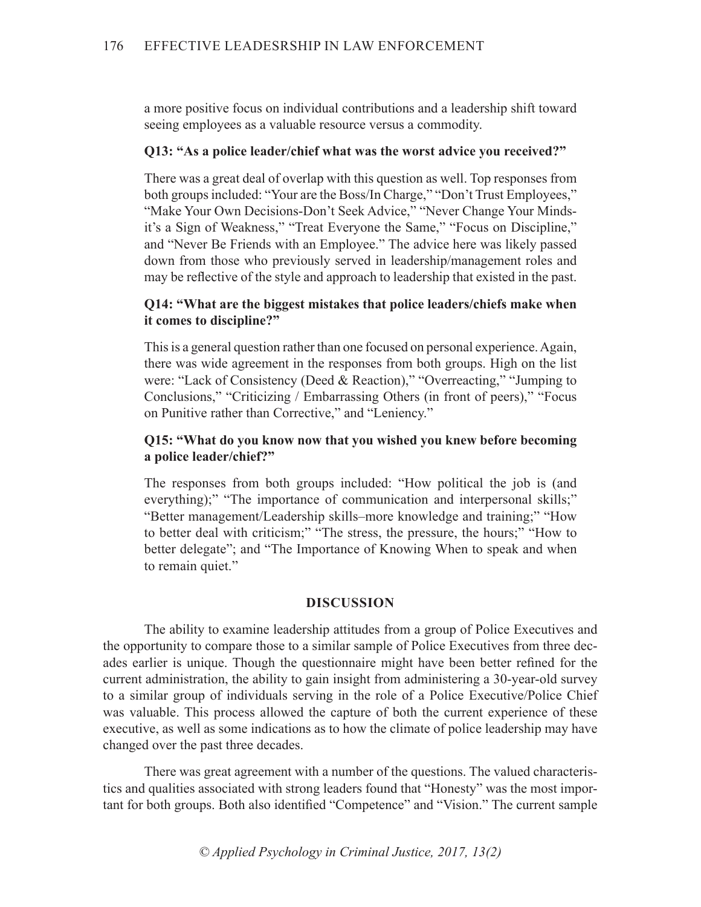a more positive focus on individual contributions and a leadership shift toward seeing employees as a valuable resource versus a commodity.

### **Q13: "As a police leader/chief what was the worst advice you received?"**

There was a great deal of overlap with this question as well. Top responses from both groups included: "Your are the Boss/In Charge," "Don't Trust Employees," "Make Your Own Decisions-Don't Seek Advice," "Never Change Your Mindsit's a Sign of Weakness," "Treat Everyone the Same," "Focus on Discipline," and "Never Be Friends with an Employee." The advice here was likely passed down from those who previously served in leadership/management roles and may be reflective of the style and approach to leadership that existed in the past.

## **Q14: "What are the biggest mistakes that police leaders/chiefs make when it comes to discipline?"**

This is a general question rather than one focused on personal experience. Again, there was wide agreement in the responses from both groups. High on the list were: "Lack of Consistency (Deed & Reaction)," "Overreacting," "Jumping to Conclusions," "Criticizing / Embarrassing Others (in front of peers)," "Focus on Punitive rather than Corrective," and "Leniency."

## **Q15: "What do you know now that you wished you knew before becoming a police leader/chief?"**

The responses from both groups included: "How political the job is (and everything);" "The importance of communication and interpersonal skills;" "Better management/Leadership skills–more knowledge and training;" "How to better deal with criticism;" "The stress, the pressure, the hours;" "How to better delegate"; and "The Importance of Knowing When to speak and when to remain quiet."

#### **DISCUSSION**

The ability to examine leadership attitudes from a group of Police Executives and the opportunity to compare those to a similar sample of Police Executives from three decades earlier is unique. Though the questionnaire might have been better refined for the current administration, the ability to gain insight from administering a 30-year-old survey to a similar group of individuals serving in the role of a Police Executive/Police Chief was valuable. This process allowed the capture of both the current experience of these executive, as well as some indications as to how the climate of police leadership may have changed over the past three decades.

There was great agreement with a number of the questions. The valued characteristics and qualities associated with strong leaders found that "Honesty" was the most important for both groups. Both also identified "Competence" and "Vision." The current sample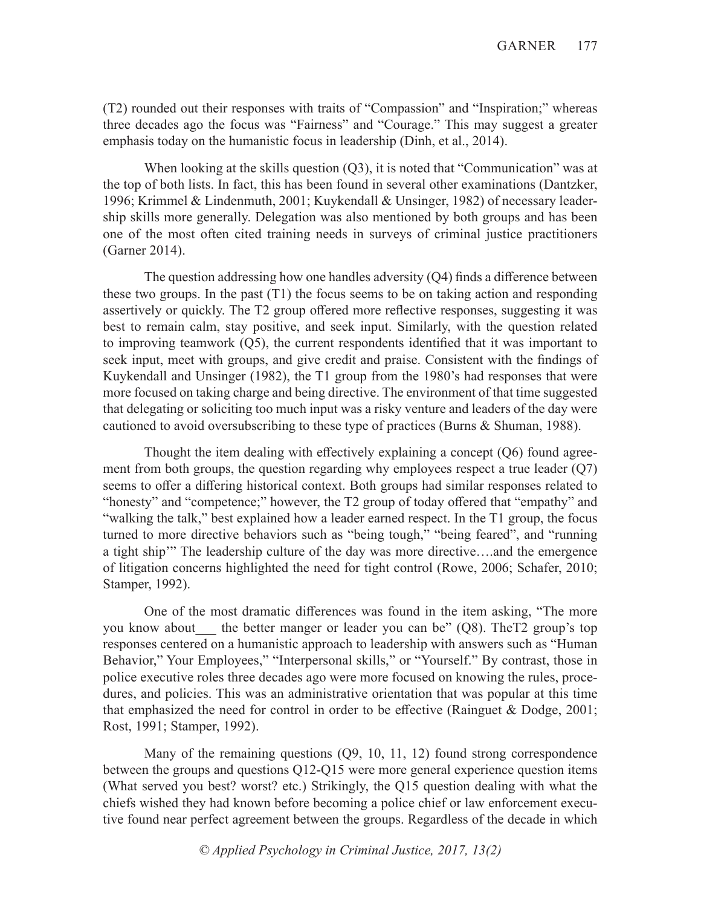(T2) rounded out their responses with traits of "Compassion" and "Inspiration;" whereas three decades ago the focus was "Fairness" and "Courage." This may suggest a greater emphasis today on the humanistic focus in leadership (Dinh, et al., 2014).

When looking at the skills question (Q3), it is noted that "Communication" was at the top of both lists. In fact, this has been found in several other examinations (Dantzker, 1996; Krimmel & Lindenmuth, 2001; Kuykendall & Unsinger, 1982) of necessary leadership skills more generally. Delegation was also mentioned by both groups and has been one of the most often cited training needs in surveys of criminal justice practitioners (Garner 2014).

The question addressing how one handles adversity (Q4) finds a difference between these two groups. In the past  $(T1)$  the focus seems to be on taking action and responding assertively or quickly. The T2 group offered more reflective responses, suggesting it was best to remain calm, stay positive, and seek input. Similarly, with the question related to improving teamwork (Q5), the current respondents identified that it was important to seek input, meet with groups, and give credit and praise. Consistent with the findings of Kuykendall and Unsinger (1982), the T1 group from the 1980's had responses that were more focused on taking charge and being directive. The environment of that time suggested that delegating or soliciting too much input was a risky venture and leaders of the day were cautioned to avoid oversubscribing to these type of practices (Burns & Shuman, 1988).

Thought the item dealing with effectively explaining a concept (Q6) found agreement from both groups, the question regarding why employees respect a true leader  $(Q7)$ seems to offer a differing historical context. Both groups had similar responses related to "honesty" and "competence;" however, the T2 group of today offered that "empathy" and "walking the talk," best explained how a leader earned respect. In the T1 group, the focus turned to more directive behaviors such as "being tough," "being feared", and "running a tight ship'" The leadership culture of the day was more directive….and the emergence of litigation concerns highlighted the need for tight control (Rowe, 2006; Schafer, 2010; Stamper, 1992).

One of the most dramatic differences was found in the item asking, "The more you know about the better manger or leader you can be" (Q8). TheT2 group's top responses centered on a humanistic approach to leadership with answers such as "Human Behavior," Your Employees," "Interpersonal skills," or "Yourself." By contrast, those in police executive roles three decades ago were more focused on knowing the rules, procedures, and policies. This was an administrative orientation that was popular at this time that emphasized the need for control in order to be effective (Rainguet & Dodge, 2001; Rost, 1991; Stamper, 1992).

Many of the remaining questions (Q9, 10, 11, 12) found strong correspondence between the groups and questions Q12-Q15 were more general experience question items (What served you best? worst? etc.) Strikingly, the Q15 question dealing with what the chiefs wished they had known before becoming a police chief or law enforcement executive found near perfect agreement between the groups. Regardless of the decade in which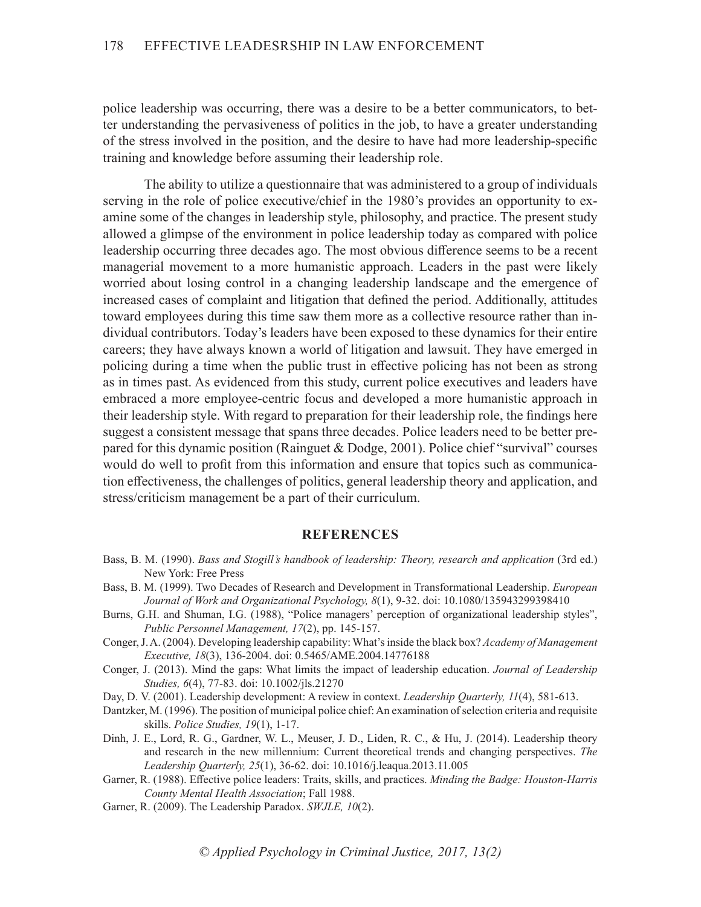police leadership was occurring, there was a desire to be a better communicators, to better understanding the pervasiveness of politics in the job, to have a greater understanding of the stress involved in the position, and the desire to have had more leadership-specific training and knowledge before assuming their leadership role.

The ability to utilize a questionnaire that was administered to a group of individuals serving in the role of police executive/chief in the 1980's provides an opportunity to examine some of the changes in leadership style, philosophy, and practice. The present study allowed a glimpse of the environment in police leadership today as compared with police leadership occurring three decades ago. The most obvious difference seems to be a recent managerial movement to a more humanistic approach. Leaders in the past were likely worried about losing control in a changing leadership landscape and the emergence of increased cases of complaint and litigation that defined the period. Additionally, attitudes toward employees during this time saw them more as a collective resource rather than individual contributors. Today's leaders have been exposed to these dynamics for their entire careers; they have always known a world of litigation and lawsuit. They have emerged in policing during a time when the public trust in effective policing has not been as strong as in times past. As evidenced from this study, current police executives and leaders have embraced a more employee-centric focus and developed a more humanistic approach in their leadership style. With regard to preparation for their leadership role, the findings here suggest a consistent message that spans three decades. Police leaders need to be better prepared for this dynamic position (Rainguet & Dodge, 2001). Police chief "survival" courses would do well to profit from this information and ensure that topics such as communication effectiveness, the challenges of politics, general leadership theory and application, and stress/criticism management be a part of their curriculum.

#### **REFERENCES**

- Bass, B. M. (1990). *Bass and Stogill's handbook of leadership: Theory, research and application* (3rd ed.) New York: Free Press
- Bass, B. M. (1999). Two Decades of Research and Development in Transformational Leadership. *European Journal of Work and Organizational Psychology, 8*(1), 9-32. doi: 10.1080/135943299398410
- Burns, G.H. and Shuman, I.G. (1988), "Police managers' perception of organizational leadership styles", *Public Personnel Management, 17*(2), pp. 145-157.
- Conger, J. A. (2004). Developing leadership capability: What's inside the black box? *Academy of Management Executive, 18*(3), 136-2004. doi: 0.5465/AME.2004.14776188
- Conger, J. (2013). Mind the gaps: What limits the impact of leadership education. *Journal of Leadership Studies, 6*(4), 77-83. doi: 10.1002/jls.21270
- Day, D. V. (2001). Leadership development: A review in context. *Leadership Quarterly, 11*(4), 581-613.
- Dantzker, M. (1996). The position of municipal police chief: An examination of selection criteria and requisite skills. *Police Studies, 19*(1), 1-17.
- Dinh, J. E., Lord, R. G., Gardner, W. L., Meuser, J. D., Liden, R. C., & Hu, J. (2014). Leadership theory and research in the new millennium: Current theoretical trends and changing perspectives. *The Leadership Quarterly, 25*(1), 36-62. doi: 10.1016/j.leaqua.2013.11.005
- Garner, R. (1988). Effective police leaders: Traits, skills, and practices. *Minding the Badge: Houston-Harris County Mental Health Association*; Fall 1988.
- Garner, R. (2009). The Leadership Paradox. *SWJLE, 10*(2).